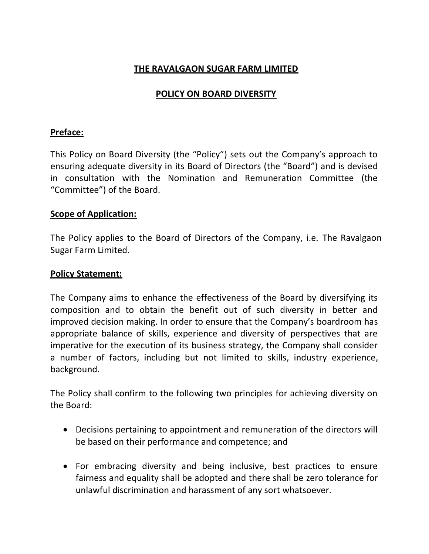# **THE RAVALGAON SUGAR FARM LIMITED**

# **POLICY ON BOARD DIVERSITY**

## **Preface:**

This Policy on Board Diversity (the "Policy") sets out the Company's approach to ensuring adequate diversity in its Board of Directors (the "Board") and is devised in consultation with the Nomination and Remuneration Committee (the "Committee") of the Board.

#### **Scope of Application:**

The Policy applies to the Board of Directors of the Company, i.e. The Ravalgaon Sugar Farm Limited.

### **Policy Statement:**

The Company aims to enhance the effectiveness of the Board by diversifying its composition and to obtain the benefit out of such diversity in better and improved decision making. In order to ensure that the Company's boardroom has appropriate balance of skills, experience and diversity of perspectives that are imperative for the execution of its business strategy, the Company shall consider a number of factors, including but not limited to skills, industry experience, background.

The Policy shall confirm to the following two principles for achieving diversity on the Board:

- Decisions pertaining to appointment and remuneration of the directors will be based on their performance and competence; and
- For embracing diversity and being inclusive, best practices to ensure fairness and equality shall be adopted and there shall be zero tolerance for unlawful discrimination and harassment of any sort whatsoever.